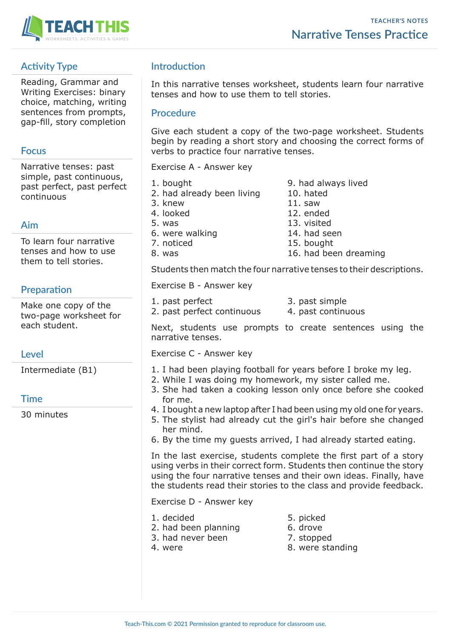

## **Activity Type**

Reading, Grammar and Writing Exercises: binary choice, matching, writing sentences from prompts, gap-fill, story completion

### **Focus**

Narrative tenses: past simple, past continuous, past perfect, past perfect continuous

## **Aim**

To learn four narrative tenses and how to use them to tell stories.

## **Preparation**

Make one copy of the two-page worksheet for each student.

### **Level**

Intermediate (B1)

### **Time**

30 minutes

# **Introduction**

In this narrative tenses worksheet, students learn four narrative tenses and how to use them to tell stories.

### **Procedure**

Give each student a copy of the two-page worksheet. Students begin by reading a short story and choosing the correct forms of verbs to practice four narrative tenses.

Exercise A - Answer key

- 1. bought 9. had always lived 2. had already been living 10. hated 3. knew 11. saw<br>4. looked 12. end 5. was 13. visited 6. were walking 14. had seen 7. noticed 15. bought 8. was 16. had been dreaming
- 12. ended
	-

Students then match the four narrative tenses to their descriptions.

Exercise B - Answer key

- 1. past perfect 3. past simple
- 2. past perfect continuous 4. past continuous
- -

Next, students use prompts to create sentences using the narrative tenses.

Exercise C - Answer key

- 1. I had been playing football for years before I broke my leg.
- 2. While I was doing my homework, my sister called me.
- 3. She had taken a cooking lesson only once before she cooked for me.
- 4. I bought a new laptop after I had been using my old one for years.
- 5. The stylist had already cut the girl's hair before she changed her mind.
- 6. By the time my guests arrived, I had already started eating.

In the last exercise, students complete the first part of a story using verbs in their correct form. Students then continue the story using the four narrative tenses and their own ideas. Finally, have the students read their stories to the class and provide feedback.

Exercise D - Answer key

- 1. decided 5. picked
- 2. had been planning 6. drove
- 3. had never been 7. stopped
- 
- 
- 
- 
- 4. were standing 8. were standing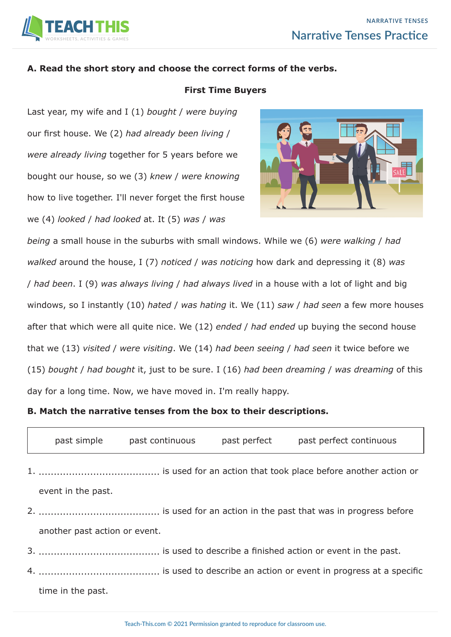

### **A. Read the short story and choose the correct forms of the verbs.**

#### **First Time Buyers**

Last year, my wife and I (1) *bought* / *were buying* our first house. We (2) *had already been living* / *were already living* together for 5 years before we bought our house, so we (3) *knew* / *were knowing*  how to live together. I'll never forget the first house we (4) *looked* / *had looked* at. It (5) *was* / *was* 



*being* a small house in the suburbs with small windows. While we (6) *were walking* / *had walked* around the house, I (7) *noticed* / *was noticing* how dark and depressing it (8) *was* / *had been*. I (9) *was always living* / *had always lived* in a house with a lot of light and big windows, so I instantly (10) *hated* / *was hating* it. We (11) *saw* / *had seen* a few more houses after that which were all quite nice. We (12) *ended* / *had ended* up buying the second house that we (13) *visited* / *were visiting*. We (14) *had been seeing* / *had seen* it twice before we (15) *bought* / *had bought* it, just to be sure. I (16) *had been dreaming* / *was dreaming* of this day for a long time. Now, we have moved in. I'm really happy.

**B. Match the narrative tenses from the box to their descriptions.**

| past simple                   | past continuous | past perfect | past perfect continuous |
|-------------------------------|-----------------|--------------|-------------------------|
|                               |                 |              |                         |
| event in the past.            |                 |              |                         |
|                               |                 |              |                         |
| another past action or event. |                 |              |                         |
|                               |                 |              |                         |
|                               |                 |              |                         |

time in the past.